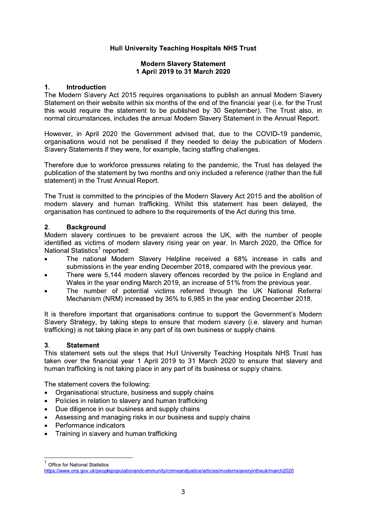# **Hull University Teaching Hospitals NHS Trust**

# **Modern Slavery Statement** 1 April 2019 to 31 March 2020

#### $1.$ **Introduction**

The Modern Slavery Act 2015 requires organisations to publish an annual Modern Slavery Statement on their website within six months of the end of the financial year (i.e. for the Trust this would require the statement to be published by 30 September). The Trust also, in normal circumstances, includes the annual Modern Slavery Statement in the Annual Report.

However, in April 2020 the Government advised that, due to the COVID-19 pandemic, organisations would not be penalised if they needed to delay the publication of Modern Slavery Statements if they were, for example, facing staffing challenges.

Therefore due to workforce pressures relating to the pandemic, the Trust has delayed the publication of the statement by two months and only included a reference (rather than the full statement) in the Trust Annual Report.

The Trust is committed to the principles of the Modern Slavery Act 2015 and the abolition of modern slavery and human trafficking. Whilst this statement has been delayed, the organisation has continued to adhere to the requirements of the Act during this time.

#### $2.$ **Background**

Modern slavery continues to be prevalent across the UK, with the number of people identified as victims of modern slavery rising year on year. In March 2020, the Office for National Statistics<sup>1</sup> reported:

- The national Modern Slavery Helpline received a 68% increase in calls and submissions in the year ending December 2018, compared with the previous year.
- There were 5.144 modern slavery offences recorded by the police in England and Wales in the year ending March 2019, an increase of 51% from the previous year.
- The number of potential victims referred through the UK National Referral Mechanism (NRM) increased by 36% to 6,985 in the year ending December 2018.

It is therefore important that organisations continue to support the Government's Modern Slavery Strategy, by taking steps to ensure that modern slavery (i.e. slavery and human trafficking) is not taking place in any part of its own business or supply chains.

### $3<sub>1</sub>$ **Statement**

This statement sets out the steps that Hull University Teaching Hospitals NHS Trust has taken over the financial year 1 April 2019 to 31 March 2020 to ensure that slavery and human trafficking is not taking place in any part of its business or supply chains.

The statement covers the following:

- Organisational structure, business and supply chains  $\bullet$
- Policies in relation to slavery and human trafficking  $\bullet$
- Due diligence in our business and supply chains  $\bullet$
- Assessing and managing risks in our business and supply chains
- Performance indicators
- Training in slavery and human trafficking

**Office for National Statistics** 

https://www.ons.gov.uk/peoplepopulationandcommunity/crimeandjustice/articles/modernslaveryintheuk/march2020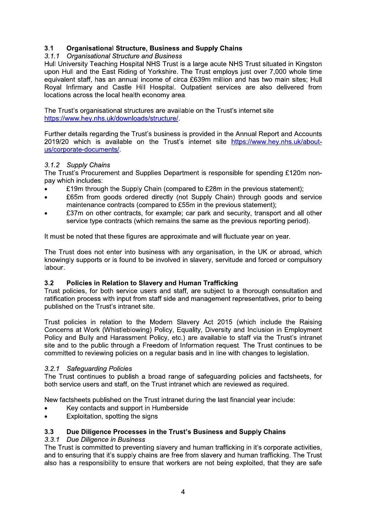## $3.1$ <br> $3.1.1$ .1 Organisational Structure, Business and Supply Chains

3.1 Organisational Structure, Business and Supply Chains<br>
3.1.1 Organisational Structure and Business<br>
Hull University Teaching Hospital NHS Trust is a large acute NHS Trust situated in Kingston<br>
upon Hull and the East Rid

The Trust's organisational structures are available on the Trust's internet site https://www.hey.nhs.uk/downloads/structure/

 $\mathbf{r}$ Further details regarding the Trust's business is provided in the Annual Report and Accounts 2019/20 which is available on the Trust's internet site https://www.hey.nhs.uk/aboutus/corporate-documents/.

### $\mathbf{r}$ 3.1.2 Supply Chains

The Trust's Procurement and Supplies Department is responsible for spending £120m nonpay which includes:

- **E** South through the Supply Chain (compared to £28m in the previous statement);<br>**1992** F65m from goods ordered directly (not Supply Chain) through goods and set
- £65m from goods ordered directly (not Supply Chain) through goods and service maintenance contracts (compared to £55m in the previous statement);
- £37m on other contracts, for example; car park and security, transport and all other service type contracts (which remains the same as the previous reporting period).

L. it must be noted that these figures are approximate and will fluctuate year on year.

The Trust does not enter into business with any organisation, in the UK or abroad, which knowingly supports or is found to be involved in slavery, servitude and forced or compulsory labour.

#### $\mathbf{r}$ ن.<br>–  $\boldsymbol{z}$  Policies in Relation to Slavery and Human Trafficking g

Frust policies, for both service users and staff, are subject to a thorough consultation and ratification process with input from staff side and management representatives, prior to being published on the Trust's intranet site.

 $\mathbf{r}$ Trust policies in relation to the Modern Slavery Act 2015 (which include the Raising Concerns at Work (Whistleblowing) Policy, Equality, Diversity and Inclusion in Employment Policy and Bully and Harassment Policy, etc.) are available to staff via the Trust's intranet site and to the public through a Freedom of Information request. The Trust continues to be committed to reviewing policies on a regular basis and in line with changes to legislation. published on the Trust's intranet site.<br>
Trust policies in relation to the Modern Slavery Act 2015 (which include the Raising<br>
Concerns at Work (Whistleblowing) Policy, Equality, Diversity and Inclusion in Employment<br>
Poli

# 3.2.1 Safeguarding Policies

New factsheets published on the Trust intranet during the last financial year include:

- Key contacts and support in Humberside
- Exploitation, spotting the signs

### $\mathbb{R}^2$  $3.3<sub>-</sub>$ Due Diligence Processes in the Trust's Business and Supply Chains

# 3.3.1 Due Diligence in Business

The Trust is committed to preventing slavery and human trafficking in it's corporate activities, and to ensuring that it's supply chains are free from slavery and human trafficking. The Trust also has a responsibility to ensure that workers are not being exploited, that they are safe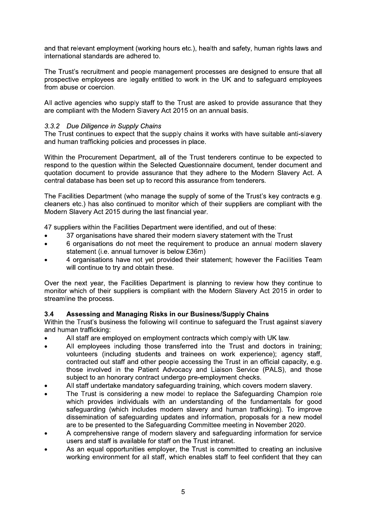and that relevant employment (working hours etc.), health and safety, human rights laws and international standards are adhered to.

The Trust's recruitment and people management processes are designed to ensure that all prospective employees are legally entitled to work in the UK and to safequard employees from abuse or coercion.

All active agencies who supply staff to the Trust are asked to provide assurance that they are compliant with the Modern Slavery Act 2015 on an annual basis.

# 3.3.2 Due Diligence in Supply Chains

The Trust continues to expect that the supply chains it works with have suitable anti-slavery and human trafficking policies and processes in place.

Within the Procurement Department, all of the Trust tenderers continue to be expected to respond to the question within the Selected Questionnaire document, tender document and quotation document to provide assurance that they adhere to the Modern Slavery Act. A central database has been set up to record this assurance from tenderers.

The Facilities Department (who manage the supply of some of the Trust's key contracts e.g. cleaners etc.) has also continued to monitor which of their suppliers are compliant with the Modern Slavery Act 2015 during the last financial year.

47 suppliers within the Facilities Department were identified, and out of these:

- 37 organisations have shared their modern slavery statement with the Trust
- 6 organisations do not meet the requirement to produce an annual modern slavery statement (i.e. annual turnover is below £36m)
- 4 organisations have not yet provided their statement; however the Facilities Team will continue to try and obtain these.

Over the next year, the Facilities Department is planning to review how they continue to monitor which of their suppliers is compliant with the Modern Slavery Act 2015 in order to streamline the process.

### $3.4$ Assessing and Managing Risks in our Business/Supply Chains

Within the Trust's business the following will continue to safeguard the Trust against slavery and human trafficking:

- All staff are employed on employment contracts which comply with UK law.
- All employees including those transferred into the Trust and doctors in training; volunteers (including students and trainees on work experience); agency staff, contracted out staff and other people accessing the Trust in an official capacity, e.g. those involved in the Patient Advocacy and Liaison Service (PALS), and those subject to an honorary contract undergo pre-employment checks.
- All staff undertake mandatory safeguarding training, which covers modern slavery.
- The Trust is considering a new model to replace the Safeguarding Champion role which provides individuals with an understanding of the fundamentals for good safeguarding (which includes modern slavery and human trafficking). To improve dissemination of safequarding updates and information, proposals for a new model are to be presented to the Safeguarding Committee meeting in November 2020.
- A comprehensive range of modern slavery and safeguarding information for service users and staff is available for staff on the Trust intranet.
- As an equal opportunities employer, the Trust is committed to creating an inclusive working environment for all staff, which enables staff to feel confident that they can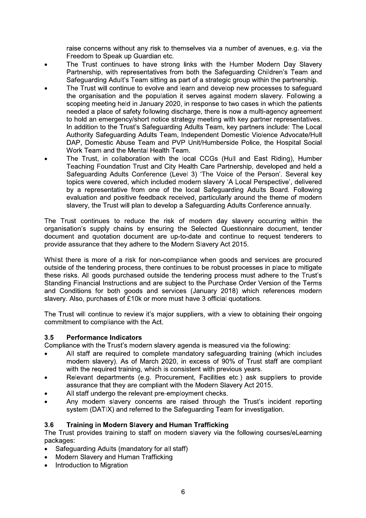raise concerns without any risk to themselves via a number of avenues, e.g. via the Freedom to Speak up Guardian etc.

- The Trust continues to have strong links with the Humber Modern Day Slavery Partnership, with representatives from both the Safequarding Children's Team and Safeguarding Adult's Team sitting as part of a strategic group within the partnership.
- The Trust will continue to evolve and learn and develop new processes to safeguard the organisation and the population it serves against modern slavery. Following a scoping meeting held in January 2020, in response to two cases in which the patients needed a place of safety following discharge, there is now a multi-agency agreement to hold an emergency/short notice strategy meeting with key partner representatives. In addition to the Trust's Safeguarding Adults Team, key partners include. The Local Authority Safeguarding Adults Team, Independent Domestic Violence Advocate/Hull DAP, Domestic Abuse Team and PVP Unit/Humberside Police, the Hospital Social Work Team and the Mental Health Team.
- The Trust, in collaboration with the local CCGs (Hull and East Riding), Humber Teaching Foundation Trust and City Health Care Partnership, developed and held a Safequarding Adults Conference (Level 3) 'The Voice of the Person', Several key topics were covered, which included modern slavery 'A Local Perspective', delivered by a representative from one of the local Safequarding Adults Board. Following evaluation and positive feedback received, particularly around the theme of modern slavery, the Trust will plan to develop a Safeguarding Adults Conference annually.

The Trust continues to reduce the risk of modern day slavery occurring within the organisation's supply chains by ensuring the Selected Questionnaire document, tender document and quotation document are up-to-date and continue to request tenderers to provide assurance that they adhere to the Modern Slavery Act 2015.

Whilst there is more of a risk for non-compliance when goods and services are procured outside of the tendering process, there continues to be robust processes in place to mitigate these risks. All goods purchased outside the tendering process must adhere to the Trust's Standing Financial Instructions and are subject to the Purchase Order Version of the Terms and Conditions for both goods and services (January 2018) which references modern slavery. Also, purchases of £10k or more must have 3 official quotations.

The Trust will continue to review it's major suppliers, with a view to obtaining their ongoing commitment to compliance with the Act.

### $3.5$ **Performance Indicators**

Compliance with the Trust's modern slavery agenda is measured via the following:

- All staff are required to complete mandatory safequarding training (which includes modern slavery). As of March 2020, in excess of 90% of Trust staff are compliant with the required training, which is consistent with previous years.
- Relevant departments (e.g. Procurement, Facilities etc.) ask suppliers to provide assurance that they are compliant with the Modern Slavery Act 2015.
- All staff undergo the relevant pre-employment checks.
- Any modern slavery concerns are raised through the Trust's incident reporting system (DATIX) and referred to the Safequarding Team for investigation.

### $3.6$ **Training in Modern Slavery and Human Trafficking**

The Trust provides training to staff on modern slavery via the following courses/eLearning packages:

- Safequarding Adults (mandatory for all staff)
- Modern Slavery and Human Trafficking
- Introduction to Migration